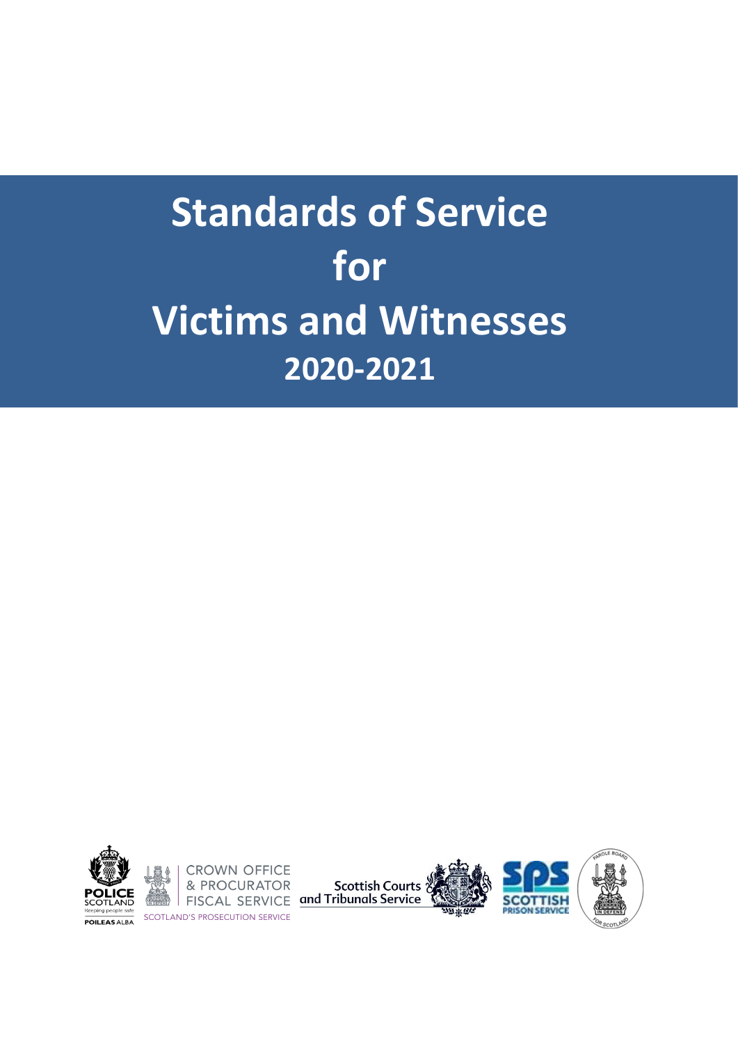

**CROWN OFFICE** Repring people safe<br> **POILEAS ALBA**<br>
SCOTLAND'S PROSECUTION SERVICE

**EXECUTE AT OR Scottish Courts of Second Service SCOTT SERVICE and Tribunals Service** 





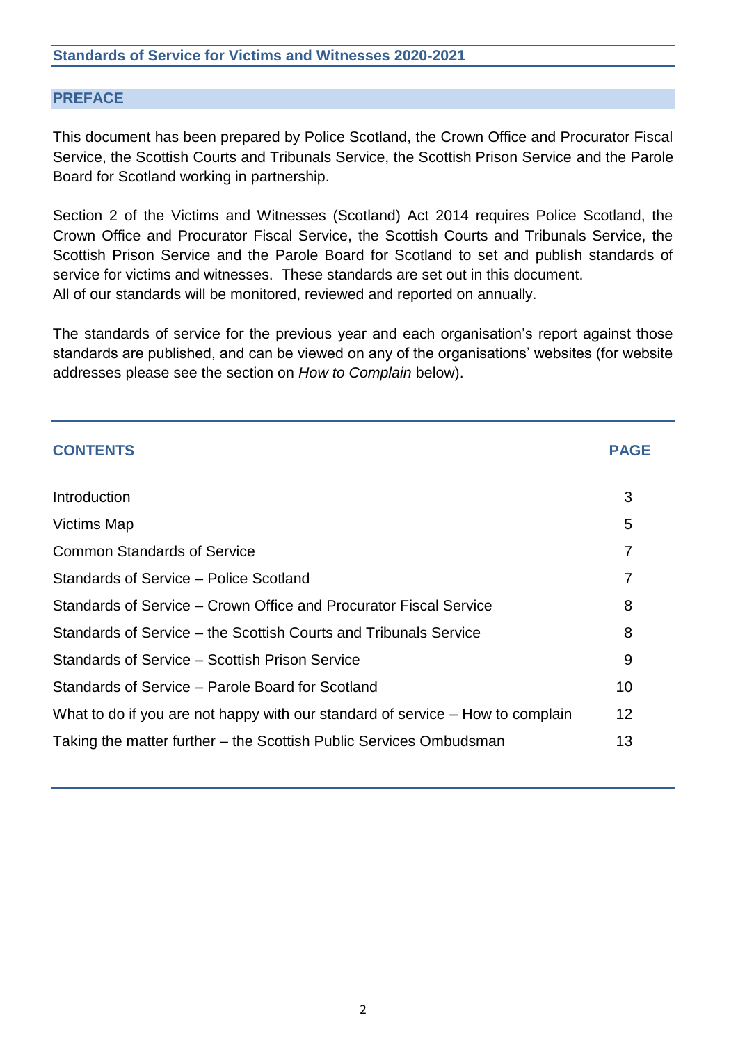#### **PREFACE**

This document has been prepared by Police Scotland, the Crown Office and Procurator Fiscal Service, the Scottish Courts and Tribunals Service, the Scottish Prison Service and the Parole Board for Scotland working in partnership.

Section 2 of the Victims and Witnesses (Scotland) Act 2014 requires Police Scotland, the Crown Office and Procurator Fiscal Service, the Scottish Courts and Tribunals Service, the Scottish Prison Service and the Parole Board for Scotland to set and publish standards of service for victims and witnesses. These standards are set out in this document. All of our standards will be monitored, reviewed and reported on annually.

The standards of service for the previous year and each organisation's report against those standards are published, and can be viewed on any of the organisations' websites (for website addresses please see the section on *How to Complain* below).

| <b>CONTENTS</b>                                                                | <b>PAGE</b> |
|--------------------------------------------------------------------------------|-------------|
|                                                                                |             |
| <b>Introduction</b>                                                            | 3           |
| <b>Victims Map</b>                                                             | 5           |
| <b>Common Standards of Service</b>                                             | 7           |
| Standards of Service - Police Scotland                                         | 7           |
| Standards of Service – Crown Office and Procurator Fiscal Service              | 8           |
| Standards of Service – the Scottish Courts and Tribunals Service               | 8           |
| Standards of Service – Scottish Prison Service                                 | 9           |
| Standards of Service - Parole Board for Scotland                               | 10          |
| What to do if you are not happy with our standard of service – How to complain | 12          |
| Taking the matter further – the Scottish Public Services Ombudsman             | 13          |
|                                                                                |             |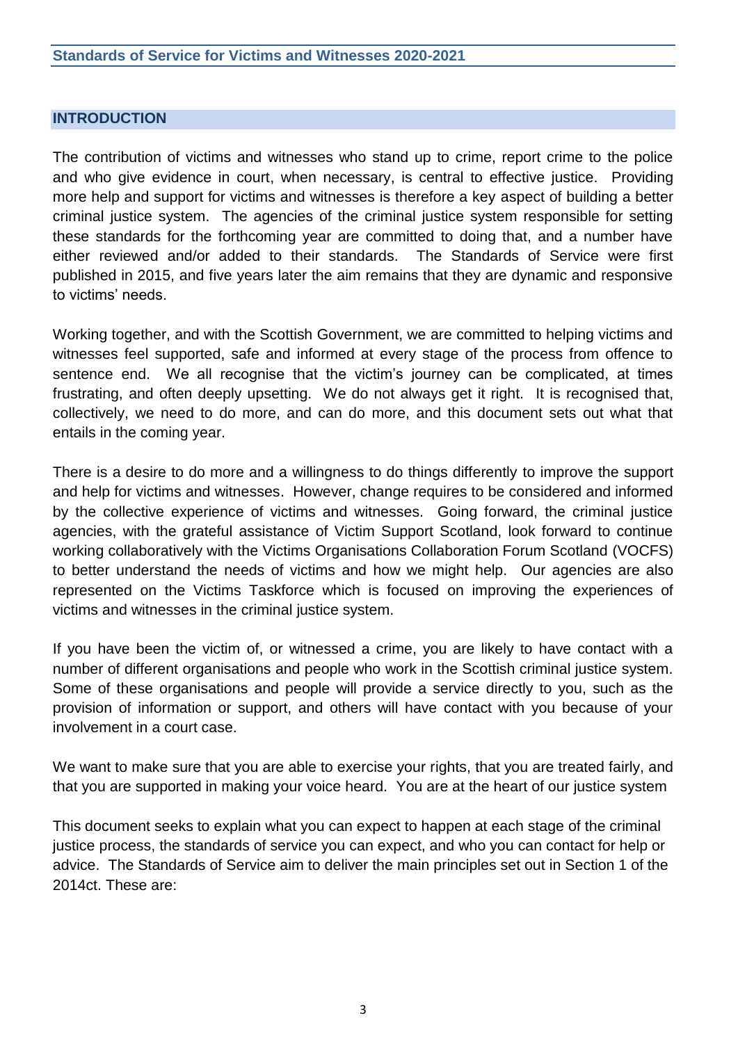#### **INTRODUCTION**

The contribution of victims and witnesses who stand up to crime, report crime to the police and who give evidence in court, when necessary, is central to effective justice. Providing more help and support for victims and witnesses is therefore a key aspect of building a better criminal justice system. The agencies of the criminal justice system responsible for setting these standards for the forthcoming year are committed to doing that, and a number have either reviewed and/or added to their standards. The Standards of Service were first published in 2015, and five years later the aim remains that they are dynamic and responsive to victims' needs.

Working together, and with the Scottish Government, we are committed to helping victims and witnesses feel supported, safe and informed at every stage of the process from offence to sentence end. We all recognise that the victim's journey can be complicated, at times frustrating, and often deeply upsetting. We do not always get it right. It is recognised that, collectively, we need to do more, and can do more, and this document sets out what that entails in the coming year.

There is a desire to do more and a willingness to do things differently to improve the support and help for victims and witnesses. However, change requires to be considered and informed by the collective experience of victims and witnesses. Going forward, the criminal justice agencies, with the grateful assistance of Victim Support Scotland, look forward to continue working collaboratively with the Victims Organisations Collaboration Forum Scotland (VOCFS) to better understand the needs of victims and how we might help. Our agencies are also represented on the Victims Taskforce which is focused on improving the experiences of victims and witnesses in the criminal justice system.

If you have been the victim of, or witnessed a crime, you are likely to have contact with a number of different organisations and people who work in the Scottish criminal justice system. Some of these organisations and people will provide a service directly to you, such as the provision of information or support, and others will have contact with you because of your involvement in a court case.

We want to make sure that you are able to exercise your rights, that you are treated fairly, and that you are supported in making your voice heard. You are at the heart of our justice system

This document seeks to explain what you can expect to happen at each stage of the criminal justice process, the standards of service you can expect, and who you can contact for help or advice. The Standards of Service aim to deliver the main principles set out in Section 1 of the 2014ct. These are: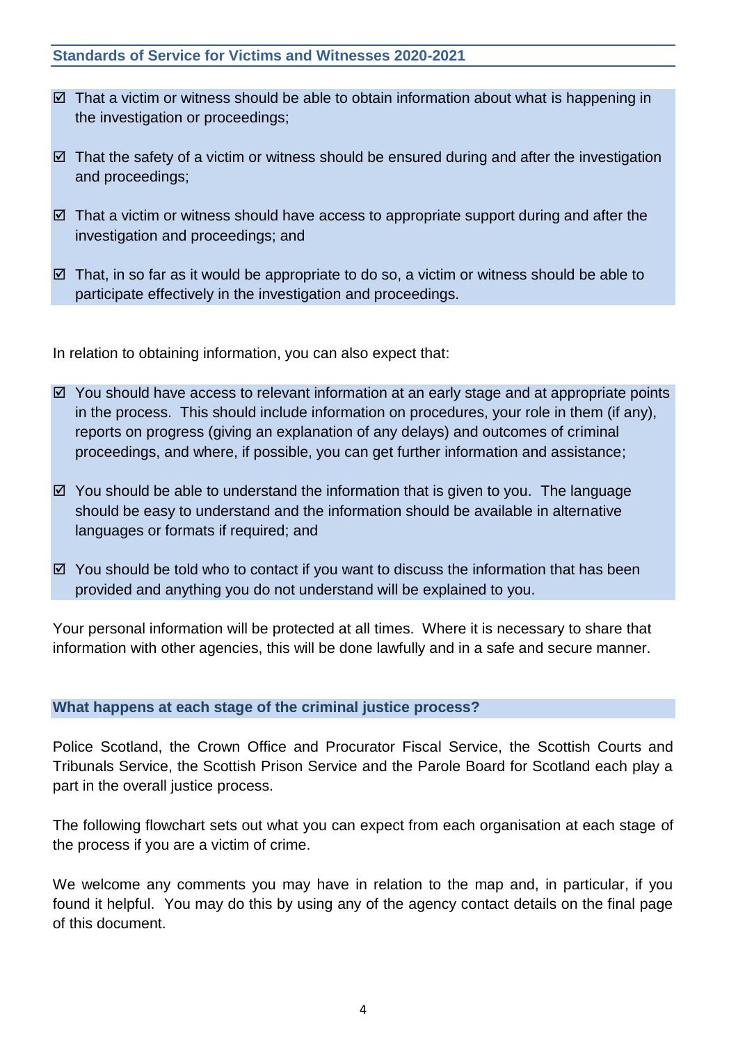- $\boxtimes$  That a victim or witness should be able to obtain information about what is happening in the investigation or proceedings;
- $\boxtimes$  That the safety of a victim or witness should be ensured during and after the investigation and proceedings;
- $\boxtimes$  That a victim or witness should have access to appropriate support during and after the investigation and proceedings; and
- $\boxtimes$  That, in so far as it would be appropriate to do so, a victim or witness should be able to participate effectively in the investigation and proceedings.

In relation to obtaining information, you can also expect that:

- $\boxtimes$  You should have access to relevant information at an early stage and at appropriate points in the process. This should include information on procedures, your role in them (if any), reports on progress (giving an explanation of any delays) and outcomes of criminal proceedings, and where, if possible, you can get further information and assistance;
- $\boxtimes$  You should be able to understand the information that is given to you. The language should be easy to understand and the information should be available in alternative languages or formats if required; and
- $\boxtimes$  You should be told who to contact if you want to discuss the information that has been provided and anything you do not understand will be explained to you.

Your personal information will be protected at all times. Where it is necessary to share that information with other agencies, this will be done lawfully and in a safe and secure manner.

### **What happens at each stage of the criminal justice process?**

Police Scotland, the Crown Office and Procurator Fiscal Service, the Scottish Courts and Tribunals Service, the Scottish Prison Service and the Parole Board for Scotland each play a part in the overall justice process.

The following flowchart sets out what you can expect from each organisation at each stage of the process if you are a victim of crime.

We welcome any comments you may have in relation to the map and, in particular, if you found it helpful. You may do this by using any of the agency contact details on the final page of this document.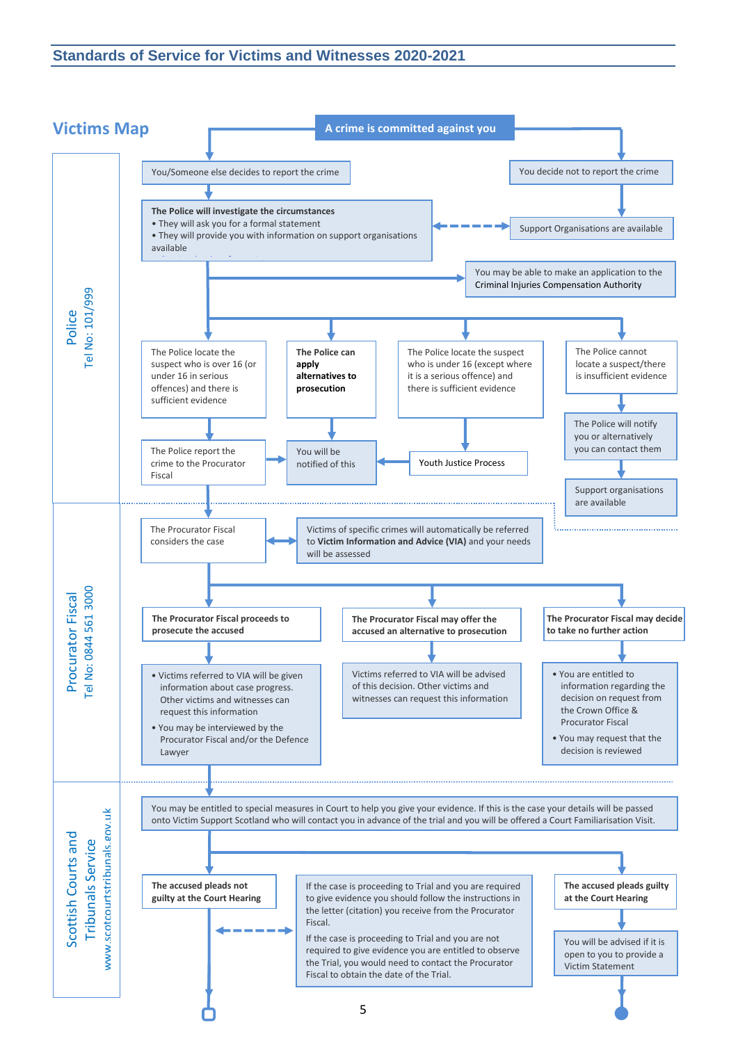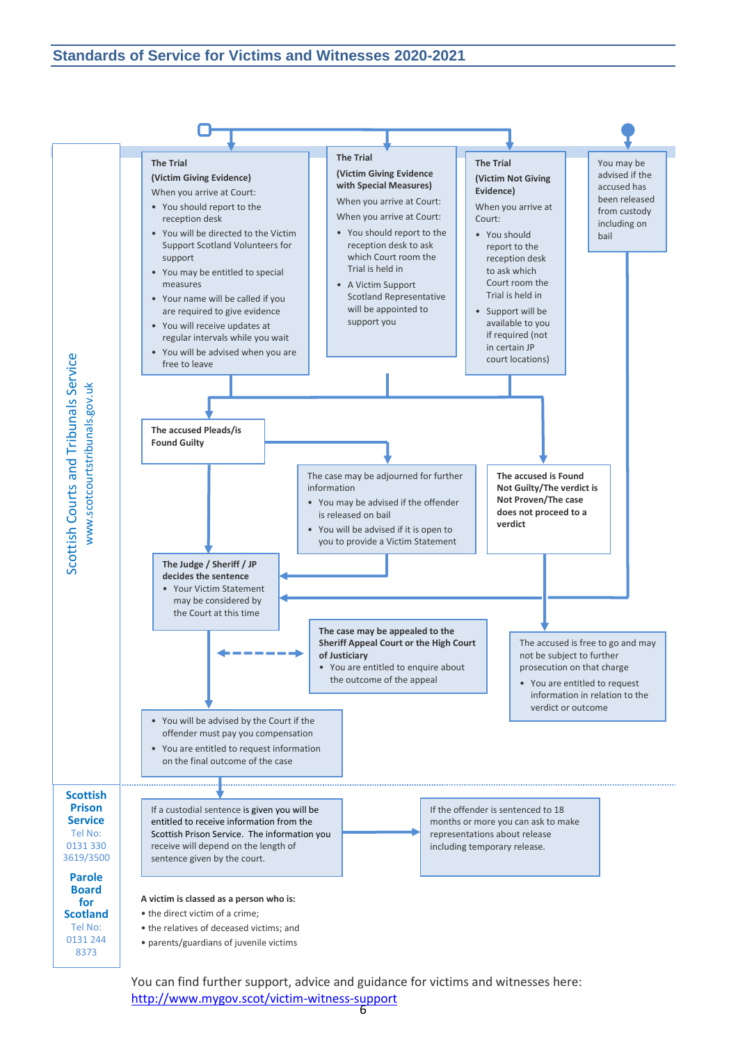

You can find further support, advice and guidance for victims and witnesses here: <http://www.mygov.scot/victim-witness-support>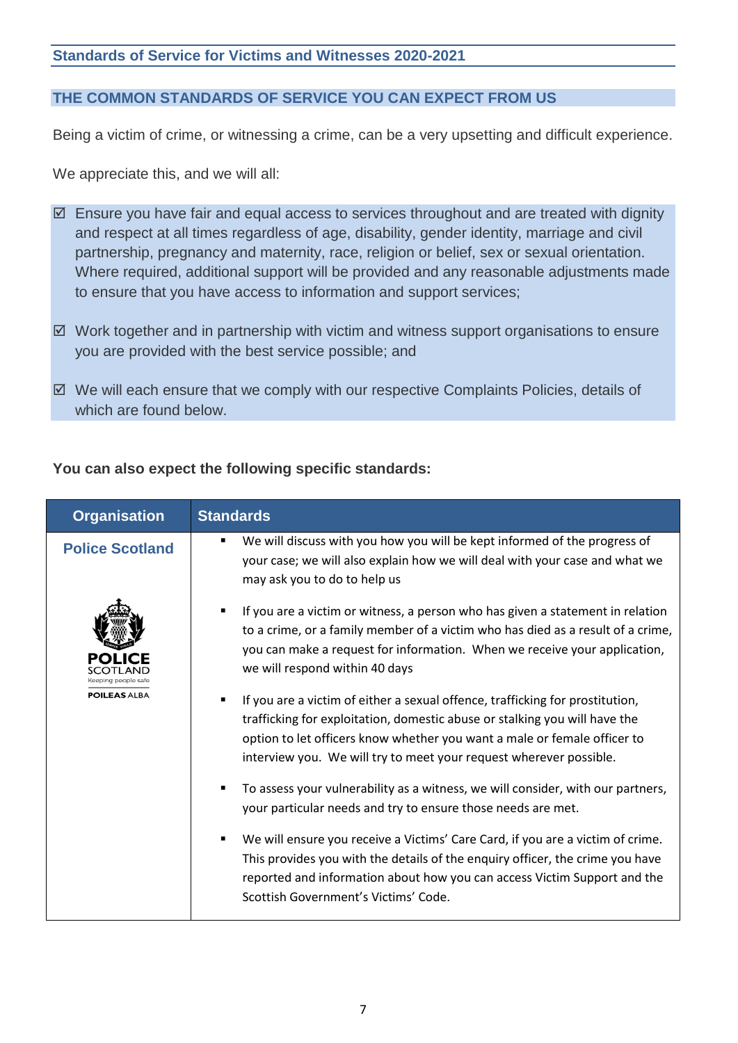### **THE COMMON STANDARDS OF SERVICE YOU CAN EXPECT FROM US**

Being a victim of crime, or witnessing a crime, can be a very upsetting and difficult experience.

We appreciate this, and we will all:

- $\boxtimes$  Ensure you have fair and equal access to services throughout and are treated with dignity and respect at all times regardless of age, disability, gender identity, marriage and civil partnership, pregnancy and maternity, race, religion or belief, sex or sexual orientation. Where required, additional support will be provided and any reasonable adjustments made to ensure that you have access to information and support services;
- $\boxtimes$  Work together and in partnership with victim and witness support organisations to ensure you are provided with the best service possible; and
- $\boxtimes$  We will each ensure that we comply with our respective Complaints Policies, details of which are found below.

#### **You can also expect the following specific standards:**

| <b>Organisation</b>    | <b>Standards</b>                                                                                                                                                                                                                                                                                                                |
|------------------------|---------------------------------------------------------------------------------------------------------------------------------------------------------------------------------------------------------------------------------------------------------------------------------------------------------------------------------|
| <b>Police Scotland</b> | We will discuss with you how you will be kept informed of the progress of<br>п<br>your case; we will also explain how we will deal with your case and what we<br>may ask you to do to help us                                                                                                                                   |
| Keeping people safe    | If you are a victim or witness, a person who has given a statement in relation<br>٠<br>to a crime, or a family member of a victim who has died as a result of a crime,<br>you can make a request for information. When we receive your application,<br>we will respond within 40 days                                           |
| <b>POILEAS ALBA</b>    | If you are a victim of either a sexual offence, trafficking for prostitution,<br>$\blacksquare$<br>trafficking for exploitation, domestic abuse or stalking you will have the<br>option to let officers know whether you want a male or female officer to<br>interview you. We will try to meet your request wherever possible. |
|                        | To assess your vulnerability as a witness, we will consider, with our partners,<br>your particular needs and try to ensure those needs are met.                                                                                                                                                                                 |
|                        | We will ensure you receive a Victims' Care Card, if you are a victim of crime.<br>٠<br>This provides you with the details of the enquiry officer, the crime you have<br>reported and information about how you can access Victim Support and the<br>Scottish Government's Victims' Code.                                        |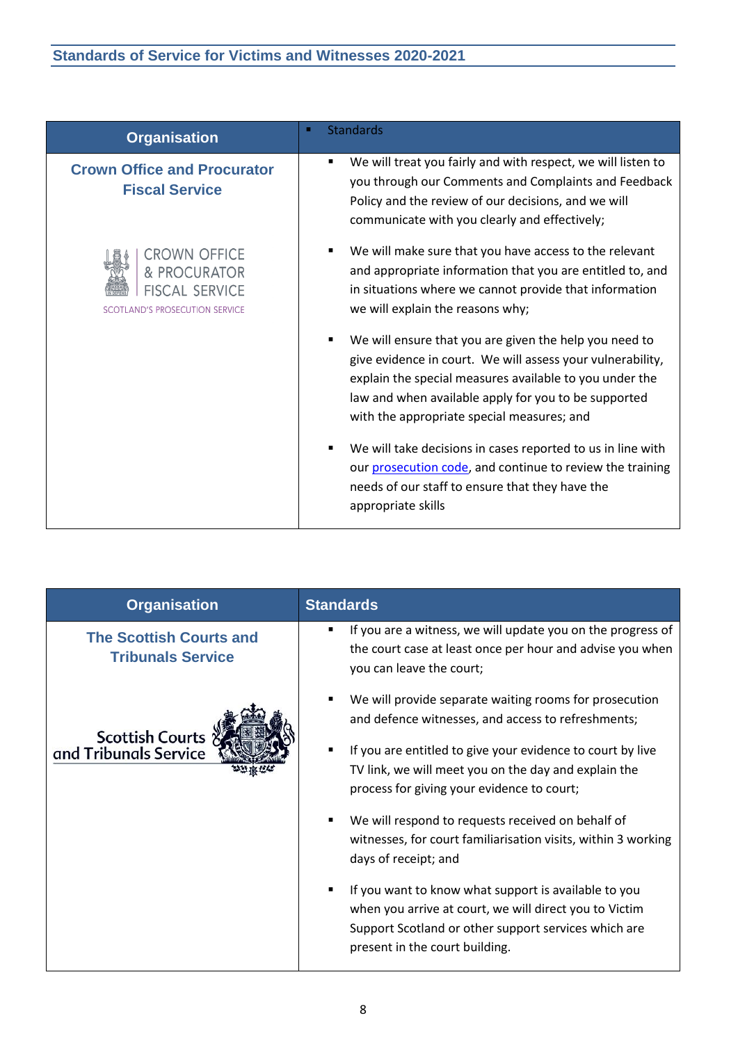| <b>Organisation</b>                                                                                   | <b>Standards</b>                                                                                                                                                                                                                                                                      |
|-------------------------------------------------------------------------------------------------------|---------------------------------------------------------------------------------------------------------------------------------------------------------------------------------------------------------------------------------------------------------------------------------------|
| <b>Crown Office and Procurator</b><br><b>Fiscal Service</b>                                           | We will treat you fairly and with respect, we will listen to<br>$\blacksquare$<br>you through our Comments and Complaints and Feedback<br>Policy and the review of our decisions, and we will<br>communicate with you clearly and effectively;                                        |
| <b>CROWN OFFICE</b><br>& PROCURATOR<br><b>FISCAL SERVICE</b><br><b>SCOTLAND'S PROSECUTION SERVICE</b> | We will make sure that you have access to the relevant<br>and appropriate information that you are entitled to, and<br>in situations where we cannot provide that information<br>we will explain the reasons why;                                                                     |
|                                                                                                       | We will ensure that you are given the help you need to<br>give evidence in court. We will assess your vulnerability,<br>explain the special measures available to you under the<br>law and when available apply for you to be supported<br>with the appropriate special measures; and |
|                                                                                                       | We will take decisions in cases reported to us in line with<br>our prosecution code, and continue to review the training<br>needs of our staff to ensure that they have the<br>appropriate skills                                                                                     |

| <b>Organisation</b>                                        | <b>Standards</b>                                                                                                                                                                                         |
|------------------------------------------------------------|----------------------------------------------------------------------------------------------------------------------------------------------------------------------------------------------------------|
| <b>The Scottish Courts and</b><br><b>Tribunals Service</b> | If you are a witness, we will update you on the progress of<br>п<br>the court case at least once per hour and advise you when<br>you can leave the court;                                                |
| Scottish Courts<br>and Tribunals Service                   | We will provide separate waiting rooms for prosecution<br>and defence witnesses, and access to refreshments;                                                                                             |
|                                                            | If you are entitled to give your evidence to court by live<br>٠<br>TV link, we will meet you on the day and explain the<br>process for giving your evidence to court;                                    |
|                                                            | We will respond to requests received on behalf of<br>witnesses, for court familiarisation visits, within 3 working<br>days of receipt; and                                                               |
|                                                            | If you want to know what support is available to you<br>when you arrive at court, we will direct you to Victim<br>Support Scotland or other support services which are<br>present in the court building. |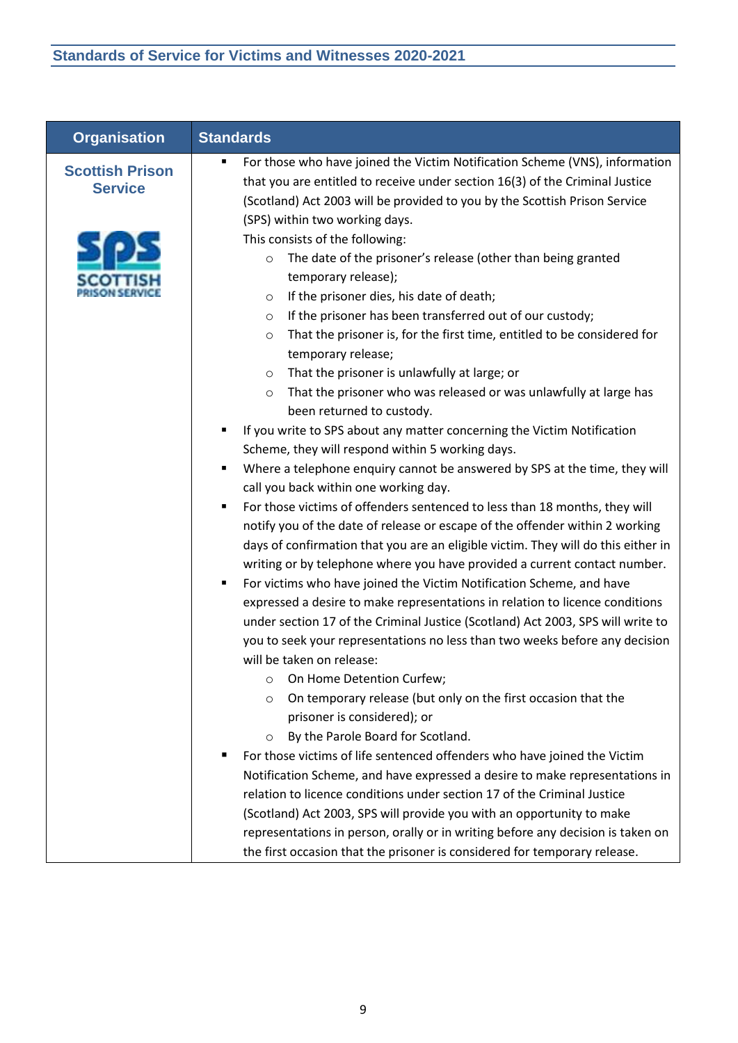| <b>Organisation</b>                      | <b>Standards</b>                                                                                                                                                                                                                                                                                                                                                                                                                                                                                                                                                                                                                                                                                                                                                                                                                                                                                                                                                                                                                                                                                                                                                                                                                                                                                                                                                                                                                                                                                                                                                                                                                                                                                                                   |
|------------------------------------------|------------------------------------------------------------------------------------------------------------------------------------------------------------------------------------------------------------------------------------------------------------------------------------------------------------------------------------------------------------------------------------------------------------------------------------------------------------------------------------------------------------------------------------------------------------------------------------------------------------------------------------------------------------------------------------------------------------------------------------------------------------------------------------------------------------------------------------------------------------------------------------------------------------------------------------------------------------------------------------------------------------------------------------------------------------------------------------------------------------------------------------------------------------------------------------------------------------------------------------------------------------------------------------------------------------------------------------------------------------------------------------------------------------------------------------------------------------------------------------------------------------------------------------------------------------------------------------------------------------------------------------------------------------------------------------------------------------------------------------|
| <b>Scottish Prison</b><br><b>Service</b> | For those who have joined the Victim Notification Scheme (VNS), information<br>that you are entitled to receive under section 16(3) of the Criminal Justice<br>(Scotland) Act 2003 will be provided to you by the Scottish Prison Service                                                                                                                                                                                                                                                                                                                                                                                                                                                                                                                                                                                                                                                                                                                                                                                                                                                                                                                                                                                                                                                                                                                                                                                                                                                                                                                                                                                                                                                                                          |
|                                          | (SPS) within two working days.<br>This consists of the following:<br>The date of the prisoner's release (other than being granted<br>O<br>temporary release);<br>If the prisoner dies, his date of death;<br>$\circ$<br>If the prisoner has been transferred out of our custody;<br>O<br>That the prisoner is, for the first time, entitled to be considered for<br>O<br>temporary release;<br>That the prisoner is unlawfully at large; or<br>$\circ$<br>That the prisoner who was released or was unlawfully at large has<br>O<br>been returned to custody.<br>If you write to SPS about any matter concerning the Victim Notification<br>Ξ<br>Scheme, they will respond within 5 working days.<br>Where a telephone enquiry cannot be answered by SPS at the time, they will<br>Ξ<br>call you back within one working day.<br>For those victims of offenders sentenced to less than 18 months, they will<br>$\blacksquare$<br>notify you of the date of release or escape of the offender within 2 working<br>days of confirmation that you are an eligible victim. They will do this either in<br>writing or by telephone where you have provided a current contact number.<br>For victims who have joined the Victim Notification Scheme, and have<br>Ξ<br>expressed a desire to make representations in relation to licence conditions<br>under section 17 of the Criminal Justice (Scotland) Act 2003, SPS will write to<br>you to seek your representations no less than two weeks before any decision<br>will be taken on release:<br>On Home Detention Curfew;<br>O<br>On temporary release (but only on the first occasion that the<br>$\circ$<br>prisoner is considered); or<br>By the Parole Board for Scotland.<br>O |
|                                          | For those victims of life sentenced offenders who have joined the Victim<br>Notification Scheme, and have expressed a desire to make representations in<br>relation to licence conditions under section 17 of the Criminal Justice<br>(Scotland) Act 2003, SPS will provide you with an opportunity to make<br>representations in person, orally or in writing before any decision is taken on<br>the first occasion that the prisoner is considered for temporary release.                                                                                                                                                                                                                                                                                                                                                                                                                                                                                                                                                                                                                                                                                                                                                                                                                                                                                                                                                                                                                                                                                                                                                                                                                                                        |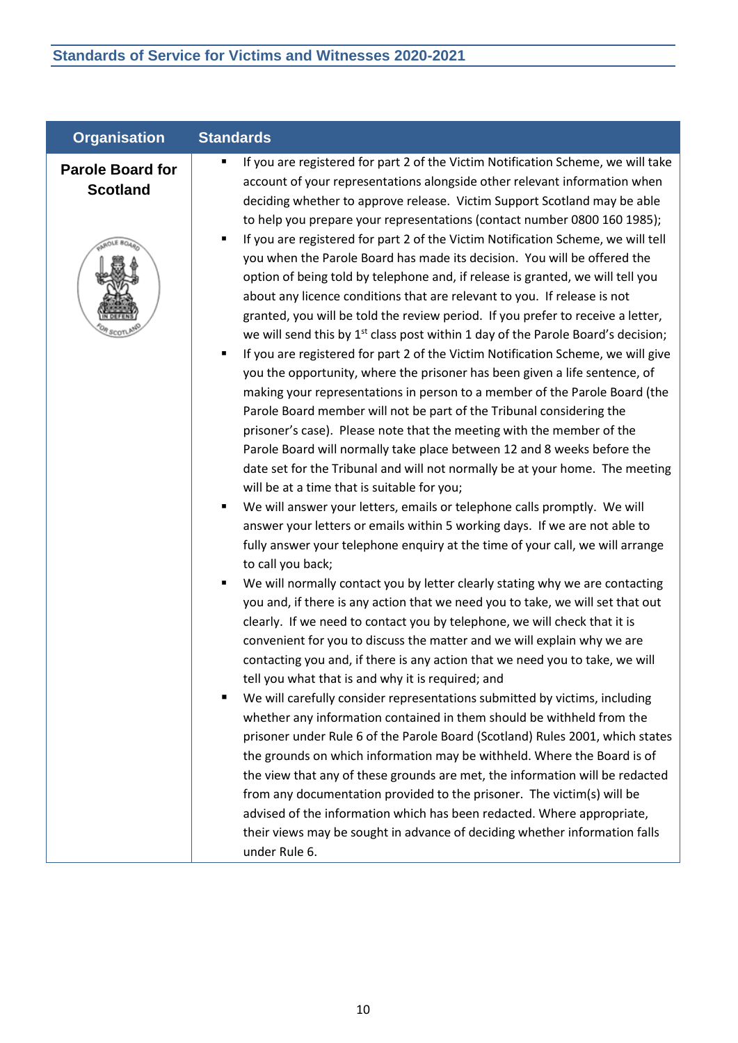| <b>Organisation</b>                        | <b>Standards</b>                                                                                                                                                                                                                                                                                                                                                                                                                                                                                                                                                                                                                                                                                                                                                                                                                                                                                                                                                                                                                                                                                                                                                                                                                                                                                                                                                                                                                                                                                                                                                                                                                                                                                                                                                                                                                                                                                                                                                                                                                                                                                                                                                                                                                                                                                                                                                                                                                                                                                                                                                                                   |
|--------------------------------------------|----------------------------------------------------------------------------------------------------------------------------------------------------------------------------------------------------------------------------------------------------------------------------------------------------------------------------------------------------------------------------------------------------------------------------------------------------------------------------------------------------------------------------------------------------------------------------------------------------------------------------------------------------------------------------------------------------------------------------------------------------------------------------------------------------------------------------------------------------------------------------------------------------------------------------------------------------------------------------------------------------------------------------------------------------------------------------------------------------------------------------------------------------------------------------------------------------------------------------------------------------------------------------------------------------------------------------------------------------------------------------------------------------------------------------------------------------------------------------------------------------------------------------------------------------------------------------------------------------------------------------------------------------------------------------------------------------------------------------------------------------------------------------------------------------------------------------------------------------------------------------------------------------------------------------------------------------------------------------------------------------------------------------------------------------------------------------------------------------------------------------------------------------------------------------------------------------------------------------------------------------------------------------------------------------------------------------------------------------------------------------------------------------------------------------------------------------------------------------------------------------------------------------------------------------------------------------------------------------|
| <b>Parole Board for</b><br><b>Scotland</b> | If you are registered for part 2 of the Victim Notification Scheme, we will take<br>account of your representations alongside other relevant information when<br>deciding whether to approve release. Victim Support Scotland may be able<br>to help you prepare your representations (contact number 0800 160 1985);<br>If you are registered for part 2 of the Victim Notification Scheme, we will tell<br>٠<br>you when the Parole Board has made its decision. You will be offered the<br>option of being told by telephone and, if release is granted, we will tell you<br>about any licence conditions that are relevant to you. If release is not<br>granted, you will be told the review period. If you prefer to receive a letter,<br>we will send this by 1 <sup>st</sup> class post within 1 day of the Parole Board's decision;<br>If you are registered for part 2 of the Victim Notification Scheme, we will give<br>٠<br>you the opportunity, where the prisoner has been given a life sentence, of<br>making your representations in person to a member of the Parole Board (the<br>Parole Board member will not be part of the Tribunal considering the<br>prisoner's case). Please note that the meeting with the member of the<br>Parole Board will normally take place between 12 and 8 weeks before the<br>date set for the Tribunal and will not normally be at your home. The meeting<br>will be at a time that is suitable for you;<br>We will answer your letters, emails or telephone calls promptly. We will<br>٠<br>answer your letters or emails within 5 working days. If we are not able to<br>fully answer your telephone enquiry at the time of your call, we will arrange<br>to call you back;<br>We will normally contact you by letter clearly stating why we are contacting<br>you and, if there is any action that we need you to take, we will set that out<br>clearly. If we need to contact you by telephone, we will check that it is<br>convenient for you to discuss the matter and we will explain why we are<br>contacting you and, if there is any action that we need you to take, we will<br>tell you what that is and why it is required; and<br>We will carefully consider representations submitted by victims, including<br>whether any information contained in them should be withheld from the<br>prisoner under Rule 6 of the Parole Board (Scotland) Rules 2001, which states<br>the grounds on which information may be withheld. Where the Board is of<br>the view that any of these grounds are met, the information will be redacted |
|                                            | from any documentation provided to the prisoner. The victim(s) will be<br>advised of the information which has been redacted. Where appropriate,<br>their views may be sought in advance of deciding whether information falls<br>under Rule 6.                                                                                                                                                                                                                                                                                                                                                                                                                                                                                                                                                                                                                                                                                                                                                                                                                                                                                                                                                                                                                                                                                                                                                                                                                                                                                                                                                                                                                                                                                                                                                                                                                                                                                                                                                                                                                                                                                                                                                                                                                                                                                                                                                                                                                                                                                                                                                    |
|                                            |                                                                                                                                                                                                                                                                                                                                                                                                                                                                                                                                                                                                                                                                                                                                                                                                                                                                                                                                                                                                                                                                                                                                                                                                                                                                                                                                                                                                                                                                                                                                                                                                                                                                                                                                                                                                                                                                                                                                                                                                                                                                                                                                                                                                                                                                                                                                                                                                                                                                                                                                                                                                    |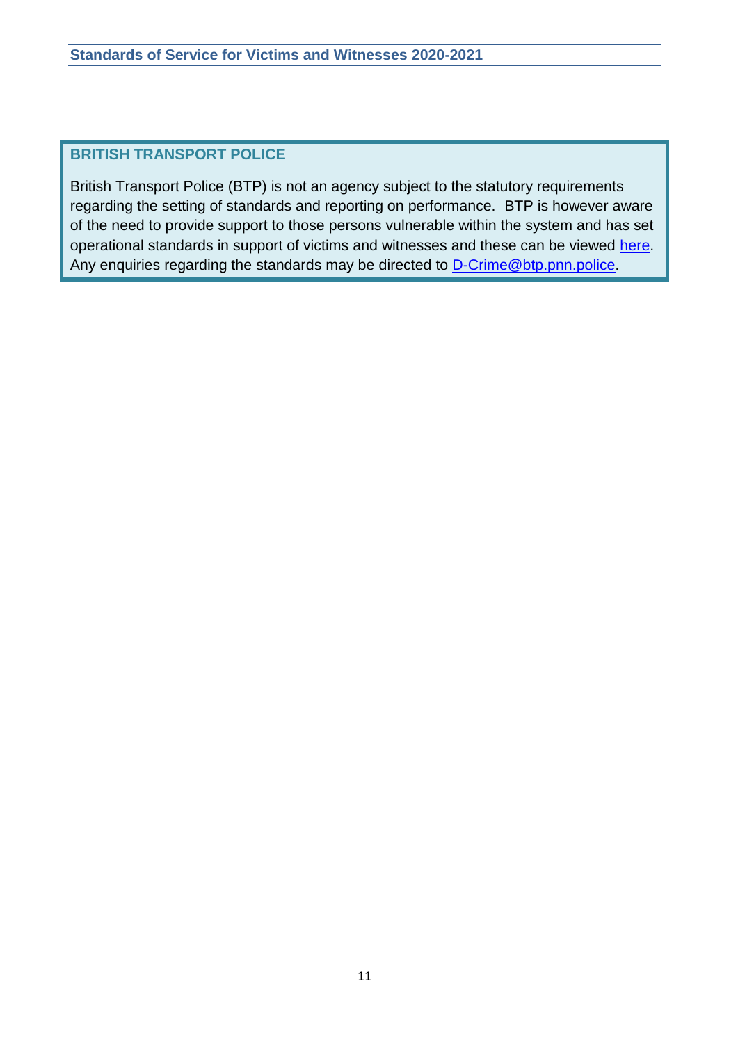## **BRITISH TRANSPORT POLICE**

British Transport Police (BTP) is not an agency subject to the statutory requirements regarding the setting of standards and reporting on performance. BTP is however aware of the need to provide support to those persons vulnerable within the system and has set operational standards in support of victims and witnesses and these can be viewed [here.](http://www.btp.police.uk/advice_and_information/if_youre_a_victim_of_crime/police_victim_right_to_review/victims_and_witnesses.aspx) Any enquiries regarding the standards may be directed to [D-Crime@btp.pnn.police](mailto:D-Crime@btp.pnn.police).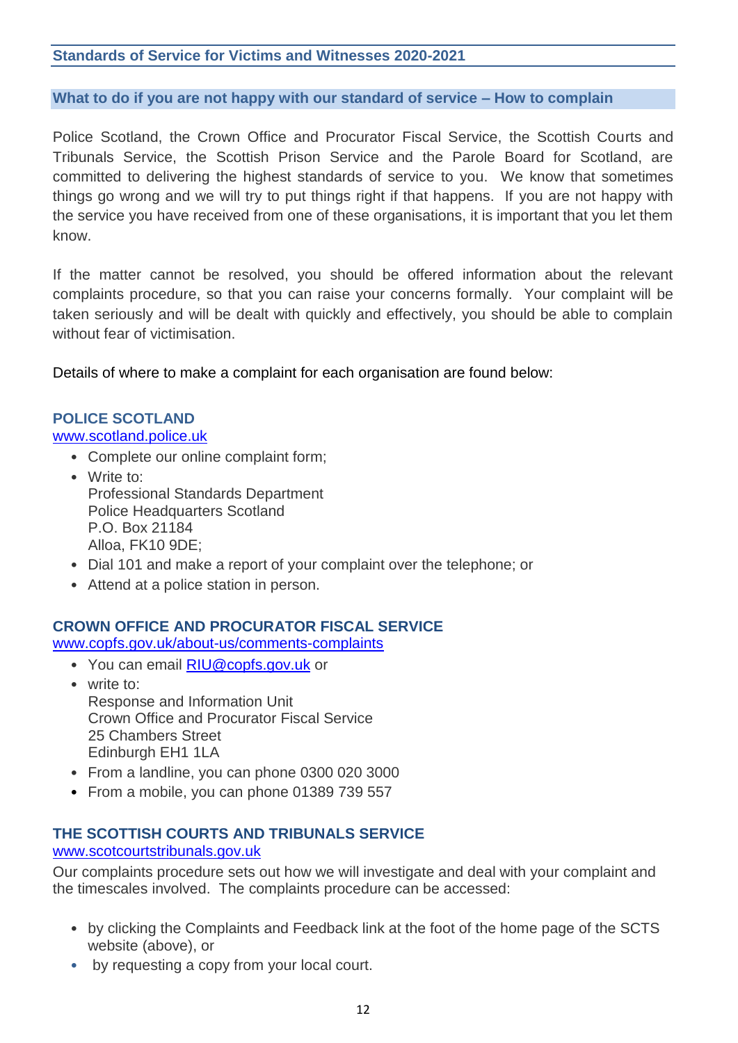#### **What to do if you are not happy with our standard of service – How to complain**

Police Scotland, the Crown Office and Procurator Fiscal Service, the Scottish Courts and Tribunals Service, the Scottish Prison Service and the Parole Board for Scotland, are committed to delivering the highest standards of service to you. We know that sometimes things go wrong and we will try to put things right if that happens. If you are not happy with the service you have received from one of these organisations, it is important that you let them know.

If the matter cannot be resolved, you should be offered information about the relevant complaints procedure, so that you can raise your concerns formally. Your complaint will be taken seriously and will be dealt with quickly and effectively, you should be able to complain without fear of victimisation.

Details of where to make a complaint for each organisation are found below:

#### **POLICE SCOTLAND** [www.scotland.police.uk](http://www.scotland.police.uk/)

## • Complete our online complaint form;

- Write to: Professional Standards Department Police Headquarters Scotland P.O. Box 21184 Alloa, FK10 9DE;
- Dial 101 and make a report of your complaint over the telephone; or
- Attend at a police station in person.

#### **CROWN OFFICE AND PROCURATOR FISCAL SERVICE**

[www.copfs.gov.uk/about-us/comments-complaints](http://www.copfs.gov.uk/about-us/comments-complaints)

- You can email [RIU@copfs.gov.uk](mailto:RIU@copfs.gov.uk) or
- write to: Response and Information Unit Crown Office and Procurator Fiscal Service 25 Chambers Street Edinburgh EH1 1LA
- From a landline, you can phone 0300 020 3000
- From a mobile, you can phone 01389 739 557

## **THE SCOTTISH COURTS AND TRIBUNALS SERVICE**

#### [www.scotcourtstribunals.gov.uk](http://www.scotcourtstribunals.gov.uk/)

Our complaints procedure sets out how we will investigate and deal with your complaint and the timescales involved. The complaints procedure can be accessed:

- by clicking the Complaints and Feedback link at the foot of the home page of the SCTS website (above), or
- by requesting a copy from your local court.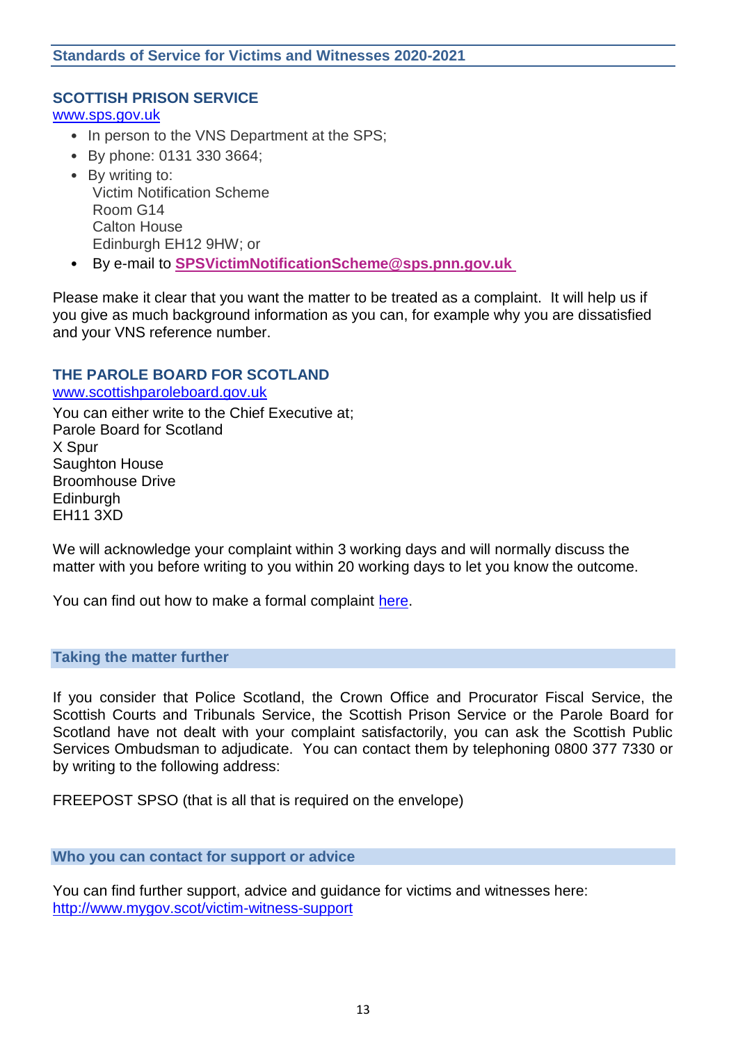#### **SCOTTISH PRISON SERVICE**

[www.sps.gov.uk](http://www.sps.gov.uk/)

- In person to the VNS Department at the SPS;
- By phone: 0131 330 3664;
- By writing to: Victim Notification Scheme Room G14 Calton House Edinburgh EH12 9HW; or
- By e-mail to **[SPSVictimNotificationScheme@sps.pnn.gov.uk](mailto:SPSVictimNotificationScheme@sps.pnn.gov.uk)**

Please make it clear that you want the matter to be treated as a complaint. It will help us if you give as much background information as you can, for example why you are dissatisfied and your VNS reference number.

#### **THE PAROLE BOARD FOR SCOTLAND**

[www.scottishparoleboard.gov.uk](http://www.scottishparoleboard.gov.uk/) You can either write to the Chief Executive at; Parole Board for Scotland X Spur Saughton House Broomhouse Drive **Edinburgh** EH11 3XD

We will acknowledge your complaint within 3 working days and will normally discuss the matter with you before writing to you within 20 working days to let you know the outcome.

You can find out how to make a formal complaint [here.](http://www.scottishparoleboard.gov.uk/page/complaints_procedure)

#### **Taking the matter further**

If you consider that Police Scotland, the Crown Office and Procurator Fiscal Service, the Scottish Courts and Tribunals Service, the Scottish Prison Service or the Parole Board for Scotland have not dealt with your complaint satisfactorily, you can ask the Scottish Public Services Ombudsman to adjudicate. You can contact them by telephoning 0800 377 7330 or by writing to the following address:

FREEPOST SPSO (that is all that is required on the envelope)

#### **Who you can contact for support or advice**

You can find further support, advice and guidance for victims and witnesses here: <http://www.mygov.scot/victim-witness-support>